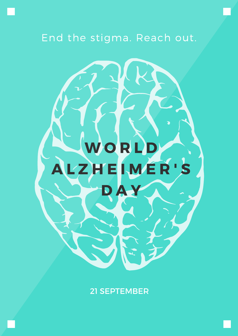

#### 21 SEPTEMBER

### End the stigma. Reach out.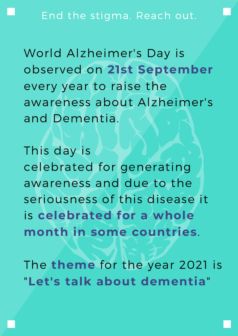#### End the stigma. Reach out.

World Alzheimer's Day is observed on **21st September** every year to raise the awareness about Alzheimer's and Dementia.

This day is celebrated for generating

awareness and due to the seriousness of this disease it is **celebrated for a whole month in some countries**. The **theme** for the year 2021 is "**Let's talk about dementia**"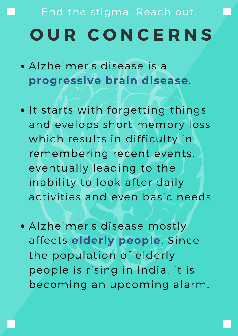- Alzheimer's disease is a **progressive brain disease**.
- . It starts with forgetting things and evelops short memory loss which results in difficulty in remembering recent events, eventually leading to the

## End the stigma. Reach out. **O U R C O N C E R N S**

inability to look after daily activities and even basic needs.

Alzheimer's disease mostly affects **elderly people**. Since the population of elderly people is rising in India, it is becoming an upcoming alarm.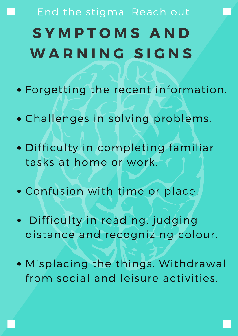- Forgetting the recent information.
- Challenges in solving problems.
- Difficulty in completing familiar tasks at home or work.

#### Confusion with time or place.

## End the stigma. Reach out. **S Y M P T O M S A N D W A R N I N G S I G N S**

- Difficulty in reading, judging distance and recognizing colour.
- Misplacing the things. Withdrawal from social and leisure activities.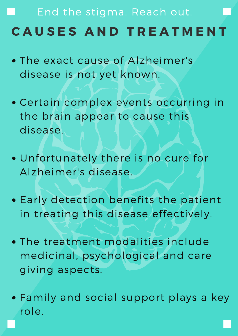- The exact cause of Alzheimer's disease is not yet known.
- Certain complex events occurring in the brain appear to cause this disease.
- Unfortunately there is no cure for Alzheimer's disease.
- Early detection benefits the patient in treating this disease effectively.
- The treatment modalities include medicinal, psychological and care giving aspects.
- Family and social support plays a key role.

### End the stigma. Reach out. **C A U S E S A N D T R E A T M E N T**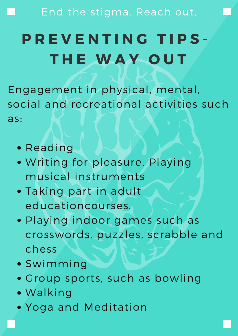End the stigma. Reach out.

- Reading
- Writing for pleasure. Playing musical instruments
- Taking part in adult educationcourses.
- Playing indoor games such as crosswords, puzzles, scrabble and chess
- Swimming
- Group sports, such as bowling
- Walking
- Yoga and Meditation

Engagement in physical, mental, social and recreational activities such as:

### **P R E V E N T I N G T I P S - T H E W A Y O U T**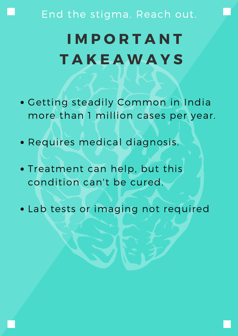### End the stigma. Reach out.

- Getting steadily Common in India more than 1 million cases per year.
- Requires medical diagnosis.
- Treatment can help, but this

#### condition can't be cured.

Lab tests or imaging not required

### **I M P O R T A N T T A K E A W A Y S**